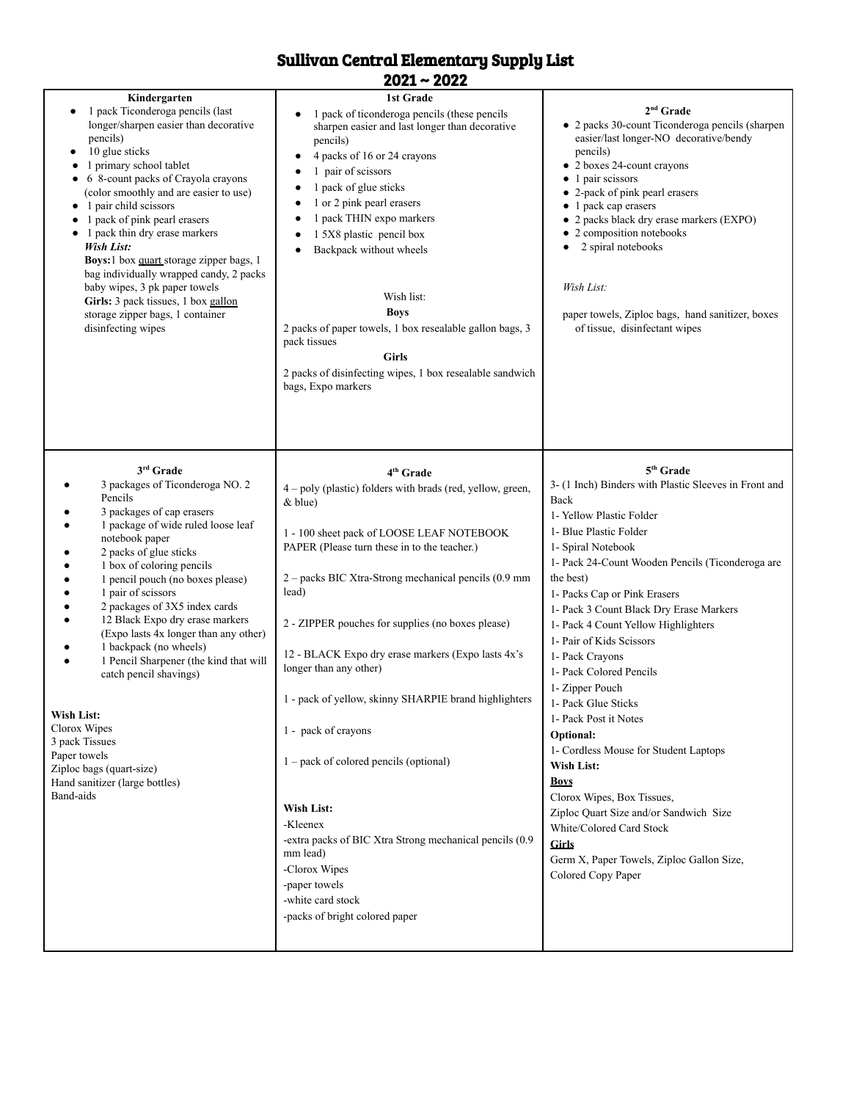## Sullivan Central Elementary Supply List

2021 ~ 2022

| Kindergarten<br>1 pack Ticonderoga pencils (last<br>٠<br>longer/sharpen easier than decorative<br>pencils)<br>10 glue sticks<br>٠<br>1 primary school tablet<br>6 8-count packs of Crayola crayons<br>(color smoothly and are easier to use)<br>1 pair child scissors<br>٠<br>1 pack of pink pearl erasers<br>٠<br>1 pack thin dry erase markers<br>٠<br>Wish List:<br>Boys:1 box quart storage zipper bags, 1<br>bag individually wrapped candy, 2 packs<br>baby wipes, 3 pk paper towels<br>Girls: 3 pack tissues, 1 box gallon<br>storage zipper bags, 1 container<br>disinfecting wipes                                   | 1st Grade<br>1 pack of ticonderoga pencils (these pencils<br>sharpen easier and last longer than decorative<br>pencils)<br>4 packs of 16 or 24 crayons<br>1 pair of scissors<br>1 pack of glue sticks<br>1 or 2 pink pearl erasers<br>1 pack THIN expo markers<br>1 5X8 plastic pencil box<br>Backpack without wheels<br>Wish list:<br><b>Boys</b><br>2 packs of paper towels, 1 box resealable gallon bags, 3<br>pack tissues<br><b>Girls</b><br>2 packs of disinfecting wipes, 1 box resealable sandwich<br>bags, Expo markers                                                                                                                                                                                           | $2nd$ Grade<br>• 2 packs 30-count Ticonderoga pencils (sharpen<br>easier/last longer-NO decorative/bendy<br>pencils)<br>• 2 boxes 24-count crayons<br>• 1 pair scissors<br>• 2-pack of pink pearl erasers<br>• 1 pack cap erasers<br>• 2 packs black dry erase markers (EXPO)<br>• 2 composition notebooks<br>2 spiral notebooks<br>Wish List:<br>paper towels, Ziploc bags, hand sanitizer, boxes<br>of tissue, disinfectant wipes                                                                                                                                                                                                                                                                                                                                                 |
|-------------------------------------------------------------------------------------------------------------------------------------------------------------------------------------------------------------------------------------------------------------------------------------------------------------------------------------------------------------------------------------------------------------------------------------------------------------------------------------------------------------------------------------------------------------------------------------------------------------------------------|----------------------------------------------------------------------------------------------------------------------------------------------------------------------------------------------------------------------------------------------------------------------------------------------------------------------------------------------------------------------------------------------------------------------------------------------------------------------------------------------------------------------------------------------------------------------------------------------------------------------------------------------------------------------------------------------------------------------------|-------------------------------------------------------------------------------------------------------------------------------------------------------------------------------------------------------------------------------------------------------------------------------------------------------------------------------------------------------------------------------------------------------------------------------------------------------------------------------------------------------------------------------------------------------------------------------------------------------------------------------------------------------------------------------------------------------------------------------------------------------------------------------------|
| 3rd Grade<br>3 packages of Ticonderoga NO. 2<br>Pencils<br>3 packages of cap erasers<br>1 package of wide ruled loose leaf<br>notebook paper<br>2 packs of glue sticks<br>1 box of coloring pencils<br>1 pencil pouch (no boxes please)<br>1 pair of scissors<br>2 packages of 3X5 index cards<br>12 Black Expo dry erase markers<br>٠<br>(Expo lasts 4x longer than any other)<br>1 backpack (no wheels)<br>1 Pencil Sharpener (the kind that will<br>٠<br>catch pencil shavings)<br>Wish List:<br>Clorox Wipes<br>3 pack Tissues<br>Paper towels<br>Ziploc bags (quart-size)<br>Hand sanitizer (large bottles)<br>Band-aids | 4 <sup>th</sup> Grade<br>4 - poly (plastic) folders with brads (red, yellow, green,<br>$&$ blue)<br>1 - 100 sheet pack of LOOSE LEAF NOTEBOOK<br>PAPER (Please turn these in to the teacher.)<br>2 - packs BIC Xtra-Strong mechanical pencils (0.9 mm<br>lead)<br>2 - ZIPPER pouches for supplies (no boxes please)<br>12 - BLACK Expo dry erase markers (Expo lasts 4x's<br>longer than any other)<br>1 - pack of yellow, skinny SHARPIE brand highlighters<br>1 - pack of crayons<br>$1 - pack$ of colored pencils (optional)<br>Wish List:<br>-Kleenex<br>-extra packs of BIC Xtra Strong mechanical pencils (0.9)<br>mm lead)<br>-Clorox Wipes<br>-paper towels<br>-white card stock<br>-packs of bright colored paper | 5 <sup>th</sup> Grade<br>3- (1 Inch) Binders with Plastic Sleeves in Front and<br>Back<br>1- Yellow Plastic Folder<br>1- Blue Plastic Folder<br>1- Spiral Notebook<br>1- Pack 24-Count Wooden Pencils (Ticonderoga are<br>the best)<br>1- Packs Cap or Pink Erasers<br>1- Pack 3 Count Black Dry Erase Markers<br>1- Pack 4 Count Yellow Highlighters<br>1- Pair of Kids Scissors<br>1- Pack Crayons<br>1- Pack Colored Pencils<br>1- Zipper Pouch<br>1- Pack Glue Sticks<br>1- Pack Post it Notes<br>Optional:<br>1- Cordless Mouse for Student Laptops<br><b>Wish List:</b><br><b>Boys</b><br>Clorox Wipes, Box Tissues,<br>Ziploc Quart Size and/or Sandwich Size<br>White/Colored Card Stock<br><b>Girls</b><br>Germ X, Paper Towels, Ziploc Gallon Size,<br>Colored Copy Paper |